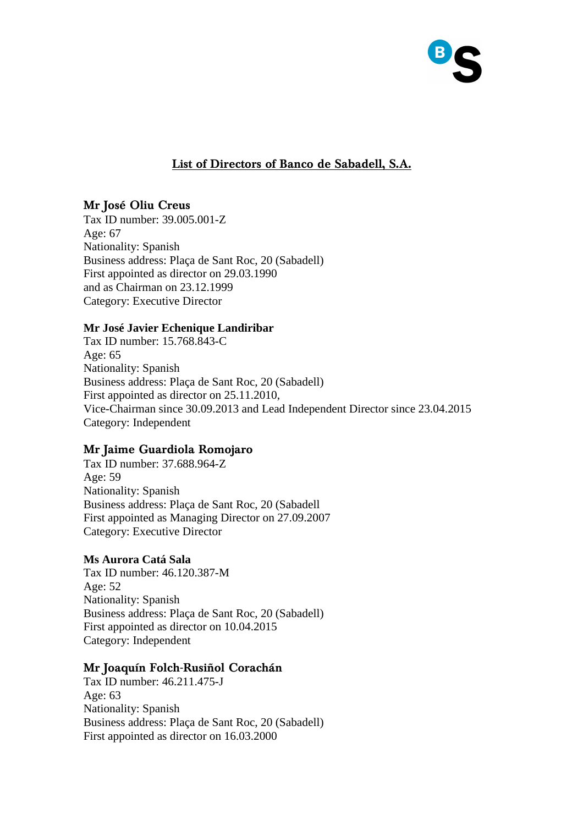

# **List of Directors of Banco de Sabadell, S.A.**

## **Mr José Oliu Creus**

Tax ID number: 39.005.001-Z Age: 67 Nationality: Spanish Business address: Plaça de Sant Roc, 20 (Sabadell) First appointed as director on 29.03.1990 and as Chairman on 23.12.1999 Category: Executive Director

#### **Mr José Javier Echenique Landiribar**

Tax ID number: 15.768.843-C Age: 65 Nationality: Spanish Business address: Plaça de Sant Roc, 20 (Sabadell) First appointed as director on 25.11.2010, Vice-Chairman since 30.09.2013 and Lead Independent Director since 23.04.2015 Category: Independent

## **Mr Jaime Guardiola Romojaro**

Tax ID number: 37.688.964-Z Age: 59 Nationality: Spanish Business address: Plaça de Sant Roc, 20 (Sabadell First appointed as Managing Director on 27.09.2007 Category: Executive Director

## **Ms Aurora Catá Sala**

Tax ID number: 46.120.387-M Age: 52 Nationality: Spanish Business address: Plaça de Sant Roc, 20 (Sabadell) First appointed as director on 10.04.2015 Category: Independent

## **Mr Joaquín Folch-Rusiñol Corachán**

Tax ID number: 46.211.475-J Age: 63 Nationality: Spanish Business address: Plaça de Sant Roc, 20 (Sabadell) First appointed as director on 16.03.2000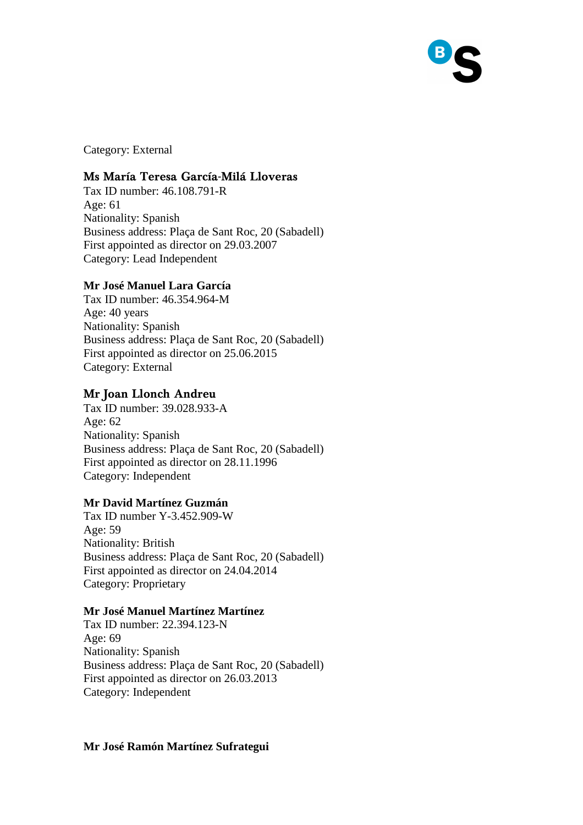

Category: External

## **Ms María Teresa García-Milá Lloveras**

Tax ID number: 46.108.791-R Age: 61 Nationality: Spanish Business address: Plaça de Sant Roc, 20 (Sabadell) First appointed as director on 29.03.2007 Category: Lead Independent

## **Mr José Manuel Lara García**

Tax ID number: 46.354.964-M Age: 40 years Nationality: Spanish Business address: Plaça de Sant Roc, 20 (Sabadell) First appointed as director on 25.06.2015 Category: External

## **Mr Joan Llonch Andreu**

Tax ID number: 39.028.933-A Age: 62 Nationality: Spanish Business address: Plaça de Sant Roc, 20 (Sabadell) First appointed as director on 28.11.1996 Category: Independent

## **Mr David Martínez Guzmán**

Tax ID number Y-3.452.909-W Age: 59 Nationality: British Business address: Plaça de Sant Roc, 20 (Sabadell) First appointed as director on 24.04.2014 Category: Proprietary

#### **Mr José Manuel Martínez Martínez**

Tax ID number: 22.394.123-N Age: 69 Nationality: Spanish Business address: Plaça de Sant Roc, 20 (Sabadell) First appointed as director on 26.03.2013 Category: Independent

#### **Mr José Ramón Martínez Sufrategui**